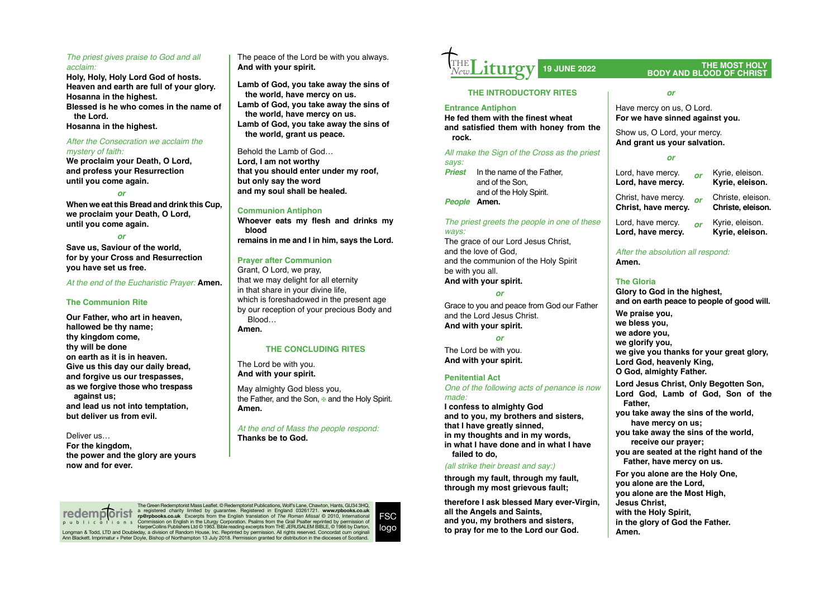# *The priest gives praise to God and all acclaim:*

**Holy, Holy, Holy Lord God of hosts. Heaven and earth are full of your glory. Hosanna in the highest. Blessed is he who comes in the name of the Lord.**

**Hosanna in the highest.**

#### *After the Consecration we acclaim the mystery of faith:*

**We proclaim your Death, O Lord, and profess your Resurrection until you come again.**

# *or*

**When we eat this Bread and drink this Cup, we proclaim your Death, O Lord, until you come again.**

*or*

**Save us, Saviour of the world, for by your Cross and Resurrection you have set us free.**

*At the end of the Eucharistic Prayer:* **Amen.**

# **The Communion Rite**

**Our Father, who art in heaven, hallowed be thy name; thy kingdom come, thy will be done on earth as it is in heaven. Give us this day our daily bread, and forgive us our trespasses, as we forgive those who trespass against us; and lead us not into temptation, but deliver us from evil.**

## Deliver us…

**For the kingdom, the power and the glory are yours now and for ever.**

The peace of the Lord be with you always. **And with your spirit.**

**Lamb of God, you take away the sins of the world, have mercy on us. Lamb of God, you take away the sins of the world, have mercy on us. Lamb of God, you take away the sins of the world, grant us peace.**

Behold the Lamb of God… **Lord, I am not worthy that you should enter under my roof, but only say the word and my soul shall be healed.**

## **Communion Antiphon**

**Whoever eats my flesh and drinks my blood remains in me and I in him, says the Lord.** 

# **Prayer after Communion**

Grant, O Lord, we pray, that we may delight for all eternity in that share in your divine life, which is foreshadowed in the present age by our reception of your precious Body and Blood…

#### **Amen.**

# **THE CONCLUDING RITES**

The Lord be with you. **And with your spirit.**

May almighty God bless you, the Father, and the Son,  $\mathbf{\Phi}$  and the Holy Spirit. **Amen.**

*At the end of Mass the people respond:* **Thanks be to God.**

**Liturgy** THE *New*

# **THE INTRODUCTORY RITES**

## **Entrance Antiphon**

**He fed them with the finest wheat and satisfied them with honey from the rock.** 

*All make the Sign of the Cross as the priest says:*

*Priest* In the name of the Father, and of the Son, and of the Holy Spirit.

*People* **Amen.**

# *The priest greets the people in one of these ways:*

The grace of our Lord Jesus Christ. and the love of God, and the communion of the Holy Spirit be with you all. **And with your spirit.**

*or*

Grace to you and peace from God our Father and the Lord Jesus Christ. **And with your spirit.**

*or*

The Lord be with you. **And with your spirit.**

## **Penitential Act**

*One of the following acts of penance is now made:*

**I confess to almighty God and to you, my brothers and sisters, that I have greatly sinned, in my thoughts and in my words, in what I have done and in what I have failed to do,**

# *(all strike their breast and say:)*

**through my fault, through my fault, through my most grievous fault;**

**therefore I ask blessed Mary ever-Virgin, all the Angels and Saints, and you, my brothers and sisters, to pray for me to the Lord our God.**

# **19 JUNE 2022 THE MOST HOLY BODY AND BLOOD OF CHRIST**

#### *or*

Have mercy on us, O Lord. **For we have sinned against you.**

Show us, O Lord, your mercy. **And grant us your salvation.**

#### *or*

Lord, have mercy. *or* Kyrie, eleison. **Lord, have mercy.** Christ, have mercy. *or* Christe, eleison. **Christ, have mercy.** 

Lord, have mercy. *or* Kyrie, eleison. Lord, have mercy.

# *After the absolution all respond:*  **Amen.**

# **The Gloria**

**Glory to God in the highest, and on earth peace to people of good will. We praise you, we bless you, we adore you, we glorify you, we give you thanks for your great glory, Lord God, heavenly King, O God, almighty Father. Lord Jesus Christ, Only Begotten Son,**

**Lord God, Lamb of God, Son of the Father,**

**you take away the sins of the world, have mercy on us;**

**you take away the sins of the world, receive our prayer;**

**you are seated at the right hand of the Father, have mercy on us.**

**For you alone are the Holy One, you alone are the Lord, you alone are the Most High, Jesus Christ, with the Holy Spirit, in the glory of God the Father. Amen.**

The Green Redemptorist Mass Leaflet. © Redemptorist Publications, Wolf's Lane, Chawton, Hants, GU34 3HQ, a registered charity limited by guarantee. Registered in England 03261721. www.rpbooks.co.uk<br>rp@rpbooks.co.uk Excerpts from the English translation of *The Roman Missal* © 2010, International<br>Commission on English in the L Longman & Todd, LTD and Doubleday, a division of Random House, Inc. Reprinted by permission. All rights reserved. Concordat cum original Ann Blackett. Imprimatur + Peter Doyle, Bishop of Northampton 13 July 2018. Permission granted for distribution in the dioceses of Scotland. **redemp orist** publications

 $FSC$ logo